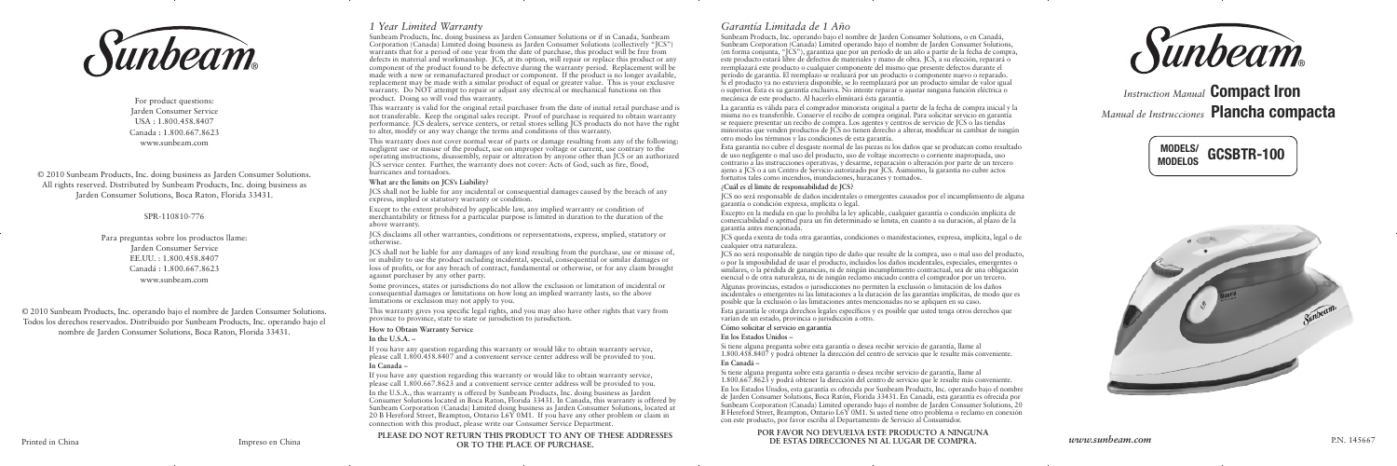*Instruction Manual* **Compact Iron** *Manual de Instrucciones* **Plancha compacta**





### *Garantía Limitada de 1 Año*

Sunbeam Products, Inc. operando bajo el nombre de Jarden Consumer Solutions, o en Canadá, Sunbeam Corporation (Canada) Limited operando bajo el nombre de Jarden Consumer Solutions, (en forma conjunta, "JCS"), garantiza que por un período de un año a partir de la fecha de compra, este producto estará libre de defectos de materiales y mano de obra. JCS, a su elección, reparará o reemplazará este producto o cualquier componente del mismo que presente defectos durante el período de garantía. El reemplazo se realizará por un producto o componente nuevo o reparado. Si el producto ya no estuviera disponible, se lo reemplazará por un producto similar de valor igual o superior. Ésta es su garantía exclusiva. No intente reparar o ajustar ninguna función eléctrica o mecánica de este producto. Al hacerlo elimínará ésta garantía.

La garantía es válida para el comprador minorista original a partir de la fecha de compra inicial y la misma no es transferible. Conserve el recibo de compra original. Para solicitar servicio en garantía se requiere presentar un recibo de compra. Los agentes y centros de servicio de JCS o las tiendas minoristas que venden productos de JCS no tienen derecho a alterar, modificar ni cambiar de ningún otro modo los términos y las condiciones de esta garantía.

Esta garantía no cubre el desgaste normal de las piezas ni los daños que se produzcan como resultado de uso negligente o mal uso del producto, uso de voltaje incorrecto o corriente inapropiada, uso contrario a las instrucciones operativas, y desarme, reparación o alteración por parte de un tercero ajeno a JCS o a un Centro de Servicio autorizado por JCS. Asimismo, la garantía no cubre actos fortuitos tales como incendios, inundaciones, huracanes y tornados.

#### **¿Cuál es el límite de responsabilidad de JCS?**

JCS no será responsable de daños incidentales o emergentes causados por el incumplimiento de alguna garantía o condición expresa, implícita o legal.

Excepto en la medida en que lo prohíba la ley aplicable, cualquier garantía o condición implícita de comerciabilidad o aptitud para un fin determinado se limita, en cuanto a su duración, al plazo de la garantía antes mencionada.

JCS queda exenta de toda otra garantías, condiciones o manifestaciones, expresa, implícita, legal o de cualquier otra naturaleza.

JCS no será responsable de ningún tipo de daño que resulte de la compra, uso o mal uso del producto, o por la imposibilidad de usar el producto, incluidos los daños incidentales, especiales, emergentes o similares, o la pérdida de ganancias, ni de ningún incumplimiento contractual, sea de una obligación esencial o de otra naturaleza, ni de ningún reclamo iniciado contra el comprador por un tercero.

Algunas provincias, estados o jurisdicciones no permiten la exclusión o limitación de los daños incidentales o emergentes ni las limitaciones a la duración de las garantías implícitas, de modo que es posible que la exclusión o las limitaciones antes mencionadas no se apliquen en su caso.

Esta garantía le otorga derechos legales específicos y es posible que usted tenga otros derechos que varían de un estado, provincia o jurisdicción a otro.

#### **Cómo solicitar el servicio en garantía**

#### **En los Estados Unidos –**

Si tiene alguna pregunta sobre esta garantía o desea recibir servicio de garantía, llame al 1.800.458.8407 y podrá obtener la dirección del centro de servicio que le resulte más conveniente. **En Canadá –**

Si tiene alguna pregunta sobre esta garantía o desea recibir servicio de garantía, llame al 1.800.667.8623 y podrá obtener la dirección del centro de servicio que le resulte más conveniente. En los Estados Unidos, esta garantía es ofrecida por Sunbeam Products, Inc. operando bajo el nombre de Jarden Consumer Solutions, Boca Ratón, Florida 33431. En Canadá, esta garantía es ofrecida por Sunbeam Corporation (Canada) Limited operando bajo el nombre de Jarden Consumer Solutions, 20 B Hereford Street, Brampton, Ontario L6Y 0M1. Si usted tiene otro problema o reclamo en conexión con este producto, por favor escriba al Departamento de Servicio al Consumidor.

#### **POR FAVOR NO DEVUELVA ESTE PRODUCTO A NINGUNA DE ESTAS DIRECCIONES NI AL LUGAR DE COMPRA.**



## *1 Year Limited Warranty*

Sunbeam Products, Inc. doing business as Jarden Consumer Solutions or if in Canada, Sunbeam Corporation (Canada) Limited doing business as Jarden Consumer Solutions (collectively "JCS") warrants that for a period of one year from the date of purchase, this product will be free from defects in material and workmanship. JCS, at its option, will repair or replace this product or any component of the product found to be defective during the warranty period. Replacement will be made with a new or remanufactured product or component. If the product is no longer available, replacement may be made with a similar product of equal or greater value. This is your exclusive warranty. Do NOT attempt to repair or adjust any electrical or mechanical functions on this product. Doing so will void this warranty.

This warranty is valid for the original retail purchaser from the date of initial retail purchase and is not transferable. Keep the original sales receipt. Proof of purchase is required to obtain warranty performance. JCS dealers, service centers, or retail stores selling JCS products do not have the right to alter, modify or any way change the terms and conditions of this warranty.

This warranty does not cover normal wear of parts or damage resulting from any of the following: negligent use or misuse of the product, use on improper voltage or current, use contrary to the operating instructions, disassembly, repair or alteration by anyone other than JCS or an authorized JCS service center. Further, the warranty does not cover: Acts of God, such as fire, flood, hurricanes and tornadoes.

#### **What are the limits on JCS's Liability?**

JCS shall not be liable for any incidental or consequential damages caused by the breach of any express, implied or statutory warranty or condition.

Except to the extent prohibited by applicable law, any implied warranty or condition of merchantability or fitness for a particular purpose is limited in duration to the duration of the above warranty.

JCS disclaims all other warranties, conditions or representations, express, implied, statutory or otherwise.

JCS shall not be liable for any damages of any kind resulting from the purchase, use or misuse of, or inability to use the product including incidental, special, consequential or similar damages or loss of profits, or for any breach of contract, fundamental or otherwise, or for any claim brought against purchaser by any other party.

Some provinces, states or jurisdictions do not allow the exclusion or limitation of incidental or consequential damages or limitations on how long an implied warranty lasts, so the above limitations or exclusion may not apply to you.

This warranty gives you specific legal rights, and you may also have other rights that vary from province to province, state to state or jurisdiction to jurisdiction.

#### **How to Obtain Warranty Service**

#### **In the U.S.A. –**

If you have any question regarding this warranty or would like to obtain warranty service, please call 1.800.458.8407 and a convenient service center address will be provided to you. **In Canada –**

If you have any question regarding this warranty or would like to obtain warranty service, please call 1.800.667.8623 and a convenient service center address will be provided to you.

In the U.S.A., this warranty is offered by Sunbeam Products, Inc. doing business as Jarden Consumer Solutions located in Boca Raton, Florida 33431. In Canada, this warranty is offered by Sunbeam Corporation (Canada) Limited doing business as Jarden Consumer Solutions, located at 20 B Hereford Street, Brampton, Ontario L6Y 0M1. If you have any other problem or claim in connection with this product, please write our Consumer Service Department.

#### **PLEASE DO NOT RETURN THIS PRODUCT TO ANY OF THESE ADDRESSES OR TO THE PLACE OF PURCHASE.**



For product questions: Jarden Consumer Service USA : 1.800.458.8407 Canada : 1.800.667.8623 www.sunbeam.com

© 2010 Sunbeam Products, Inc. doing business as Jarden Consumer Solutions. All rights reserved. Distributed by Sunbeam Products, Inc. doing business as Jarden Consumer Solutions, Boca Raton, Florida 33431.

#### SPR-110810-776

Para preguntas sobre los productos llame: Jarden Consumer Service EE.UU. : 1.800.458.8407 Canadá : 1.800.667.8623 www.sunbeam.com

© 2010 Sunbeam Products, Inc. operando bajo el nombre de Jarden Consumer Solutions. Todos los derechos reservados. Distribuido por Sunbeam Products, Inc. operando bajo el nombre de Jarden Consumer Solutions, Boca Raton, Florida 33431.